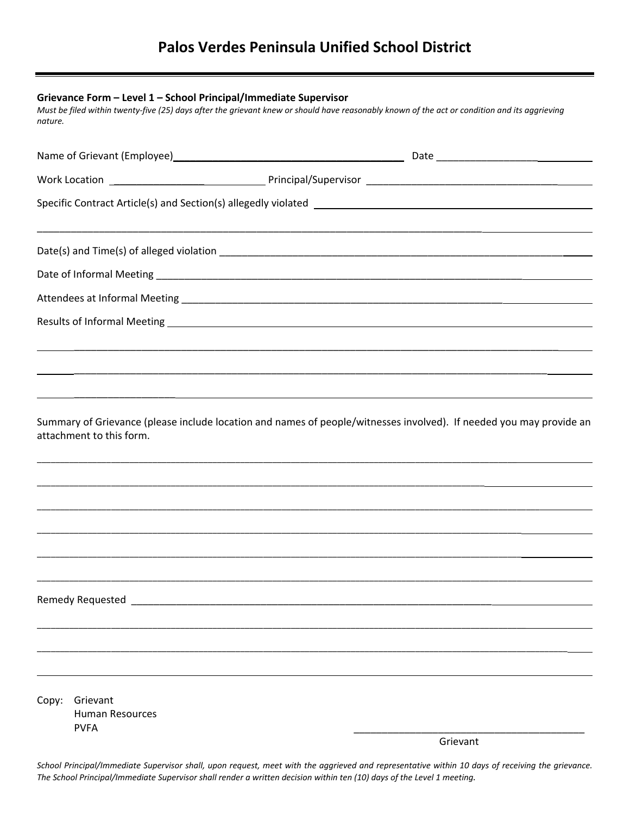| Grievance Form - Level 1 - School Principal/Immediate Supervisor<br>Must be filed within twenty-five (25) days after the grievant knew or should have reasonably known of the act or condition and its aggrieving<br>nature. |                                                   |  |                                                                                                                     |  |
|------------------------------------------------------------------------------------------------------------------------------------------------------------------------------------------------------------------------------|---------------------------------------------------|--|---------------------------------------------------------------------------------------------------------------------|--|
|                                                                                                                                                                                                                              |                                                   |  |                                                                                                                     |  |
|                                                                                                                                                                                                                              |                                                   |  |                                                                                                                     |  |
|                                                                                                                                                                                                                              |                                                   |  |                                                                                                                     |  |
|                                                                                                                                                                                                                              |                                                   |  |                                                                                                                     |  |
|                                                                                                                                                                                                                              |                                                   |  |                                                                                                                     |  |
|                                                                                                                                                                                                                              |                                                   |  |                                                                                                                     |  |
|                                                                                                                                                                                                                              |                                                   |  |                                                                                                                     |  |
|                                                                                                                                                                                                                              |                                                   |  |                                                                                                                     |  |
|                                                                                                                                                                                                                              | attachment to this form.                          |  | Summary of Grievance (please include location and names of people/witnesses involved). If needed you may provide an |  |
|                                                                                                                                                                                                                              |                                                   |  |                                                                                                                     |  |
|                                                                                                                                                                                                                              |                                                   |  |                                                                                                                     |  |
|                                                                                                                                                                                                                              |                                                   |  |                                                                                                                     |  |
|                                                                                                                                                                                                                              |                                                   |  |                                                                                                                     |  |
|                                                                                                                                                                                                                              |                                                   |  |                                                                                                                     |  |
|                                                                                                                                                                                                                              |                                                   |  |                                                                                                                     |  |
| Copy:                                                                                                                                                                                                                        | Grievant<br><b>Human Resources</b><br><b>PVFA</b> |  |                                                                                                                     |  |
|                                                                                                                                                                                                                              |                                                   |  | Grievant                                                                                                            |  |

School Principal/Immediate Supervisor shall, upon request, meet with the aggrieved and representative within 10 days of receiving the grievance. The School Principal/Immediate Supervisor shall render a written decision within ten (10) days of the Level 1 meeting.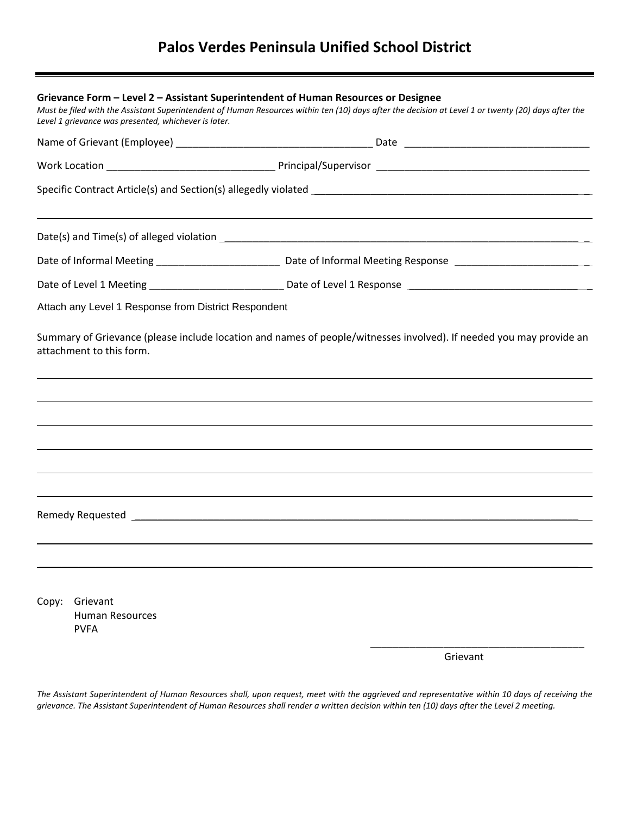| Grievance Form – Level 2 – Assistant Superintendent of Human Resources or Designee<br>Must be filed with the Assistant Superintendent of Human Resources within ten (10) days after the decision at Level 1 or twenty (20) days after the<br>Level 1 grievance was presented, whichever is later. |                                                      |  |                                                                                  |  |  |
|---------------------------------------------------------------------------------------------------------------------------------------------------------------------------------------------------------------------------------------------------------------------------------------------------|------------------------------------------------------|--|----------------------------------------------------------------------------------|--|--|
|                                                                                                                                                                                                                                                                                                   |                                                      |  |                                                                                  |  |  |
|                                                                                                                                                                                                                                                                                                   |                                                      |  |                                                                                  |  |  |
|                                                                                                                                                                                                                                                                                                   |                                                      |  |                                                                                  |  |  |
|                                                                                                                                                                                                                                                                                                   |                                                      |  |                                                                                  |  |  |
|                                                                                                                                                                                                                                                                                                   |                                                      |  |                                                                                  |  |  |
|                                                                                                                                                                                                                                                                                                   |                                                      |  |                                                                                  |  |  |
|                                                                                                                                                                                                                                                                                                   | Attach any Level 1 Response from District Respondent |  |                                                                                  |  |  |
|                                                                                                                                                                                                                                                                                                   |                                                      |  | ,我们也不会有什么。""我们的人,我们也不会有什么?""我们的人,我们也不会有什么?""我们的人,我们也不会有什么?""我们的人,我们也不会有什么?""我们的人 |  |  |
|                                                                                                                                                                                                                                                                                                   |                                                      |  |                                                                                  |  |  |
| Copy:                                                                                                                                                                                                                                                                                             | Grievant<br><b>Human Resources</b><br><b>PVFA</b>    |  |                                                                                  |  |  |

Grievant

The Assistant Superintendent of Human Resources shall, upon request, meet with the aggrieved and representative within 10 days of receiving the grievance. The Assistant Superintendent of Human Resources shall render a written decision within ten (10) days after the Level 2 meeting.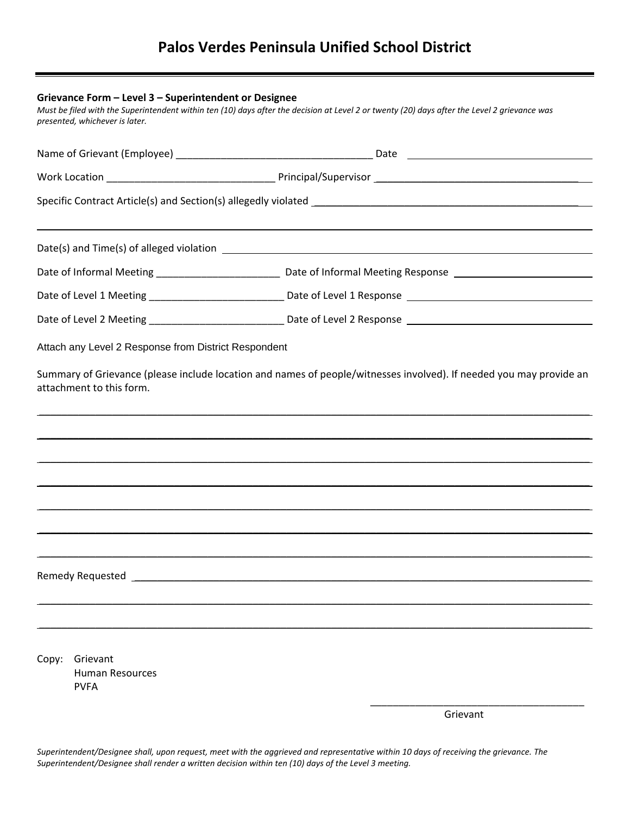| Grievance Form - Level 3 - Superintendent or Designee<br>Must be filed with the Superintendent within ten (10) days after the decision at Level 2 or twenty (20) days after the Level 2 grievance was<br>presented, whichever is later. |                                                   |  |  |  |
|-----------------------------------------------------------------------------------------------------------------------------------------------------------------------------------------------------------------------------------------|---------------------------------------------------|--|--|--|
|                                                                                                                                                                                                                                         |                                                   |  |  |  |
|                                                                                                                                                                                                                                         |                                                   |  |  |  |
|                                                                                                                                                                                                                                         |                                                   |  |  |  |
|                                                                                                                                                                                                                                         |                                                   |  |  |  |
|                                                                                                                                                                                                                                         |                                                   |  |  |  |
|                                                                                                                                                                                                                                         |                                                   |  |  |  |
|                                                                                                                                                                                                                                         |                                                   |  |  |  |
|                                                                                                                                                                                                                                         |                                                   |  |  |  |
|                                                                                                                                                                                                                                         |                                                   |  |  |  |
|                                                                                                                                                                                                                                         |                                                   |  |  |  |
| Copy:                                                                                                                                                                                                                                   | Grievant<br><b>Human Resources</b><br><b>PVFA</b> |  |  |  |

Grievant

Superintendent/Designee shall, upon request, meet with the aggrieved and representative within 10 days of receiving the grievance. The *Superintendent/Designee shall render a written decision within ten (10) days of the Level 3 meeting.*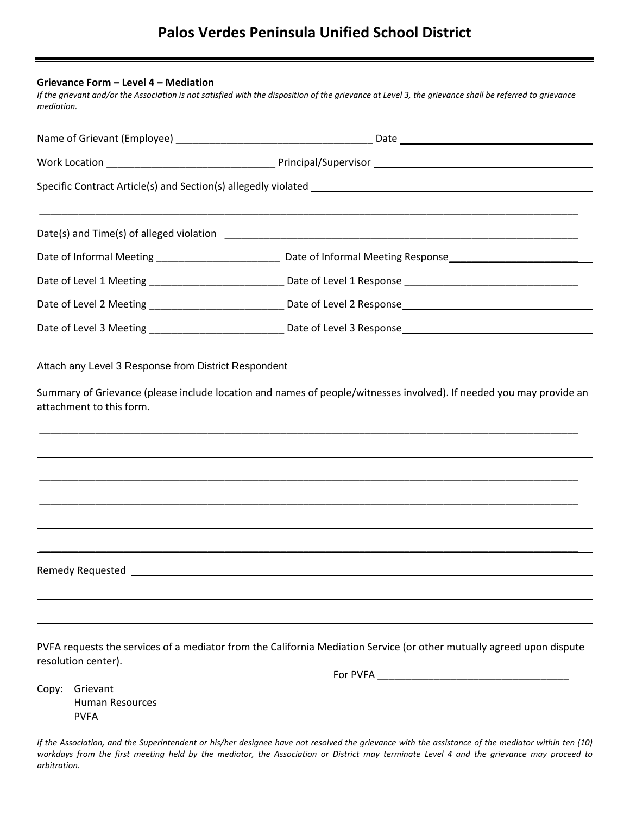#### **Grievance Form – Level 4 – Mediation**

If the grievant and/or the Association is not satisfied with the disposition of the grievance at Level 3, the grievance shall be referred to grievance *mediation.*

|                     | Date of Level 1 Meeting __________________________________ Date of Level 1 Response ________________________________  |  |  |  |  |
|---------------------|-----------------------------------------------------------------------------------------------------------------------|--|--|--|--|
|                     |                                                                                                                       |  |  |  |  |
|                     | Date of Level 3 Meeting ___________________________________ Date of Level 3 Response _______________________________  |  |  |  |  |
|                     |                                                                                                                       |  |  |  |  |
|                     |                                                                                                                       |  |  |  |  |
|                     |                                                                                                                       |  |  |  |  |
|                     |                                                                                                                       |  |  |  |  |
|                     |                                                                                                                       |  |  |  |  |
| resolution center). | PVFA requests the services of a mediator from the California Mediation Service (or other mutually agreed upon dispute |  |  |  |  |

For PVFA \_\_\_\_\_\_\_\_\_\_\_\_\_\_\_\_\_\_\_\_\_\_\_\_\_\_\_\_\_\_\_\_\_\_

Copy: Grievant Human Resources PVFA

If the Association, and the Superintendent or his/her designee have not resolved the grievance with the assistance of the mediator within ten (10) workdays from the first meeting held by the mediator, the Association or District may terminate Level 4 and the grievance may proceed to *arbitration.*